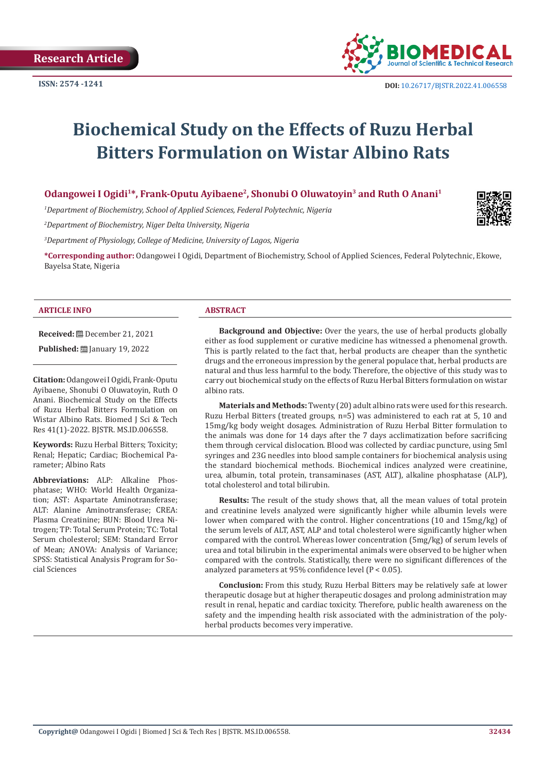

# **Biochemical Study on the Effects of Ruzu Herbal Bitters Formulation on Wistar Albino Rats**

# Odangowei I Ogidi<sup>1\*</sup>, Frank-Oputu Ayibaene<sup>2</sup>, Shonubi O Oluwatoyin<sup>3</sup> and Ruth O Anani<sup>1</sup>

*1 Department of Biochemistry, School of Applied Sciences, Federal Polytechnic, Nigeria*

*2 Department of Biochemistry, Niger Delta University, Nigeria*

*3 Department of Physiology, College of Medicine, University of Lagos, Nigeria*

**\*Corresponding author:** Odangowei I Ogidi, Department of Biochemistry, School of Applied Sciences, Federal Polytechnic, Ekowe, Bayelsa State, Nigeria

#### **ARTICLE INFO ABSTRACT**

**Received:** December 21, 2021

**Published: [**] January 19, 2022

**Citation:** Odangowei I Ogidi, Frank-Oputu Ayibaene, Shonubi O Oluwatoyin, Ruth O Anani. Biochemical Study on the Effects of Ruzu Herbal Bitters Formulation on Wistar Albino Rats. Biomed I Sci & Tech Res 41(1)-2022. BJSTR. MS.ID.006558.

**Keywords:** Ruzu Herbal Bitters; Toxicity; Renal; Hepatic; Cardiac; Biochemical Parameter; Albino Rats

**Abbreviations:** ALP: Alkaline Phosphatase; WHO: World Health Organization; AST: Aspartate Aminotransferase; ALT: Alanine Aminotransferase; CREA: Plasma Creatinine; BUN: Blood Urea Nitrogen; TP: Total Serum Protein; TC: Total Serum cholesterol; SEM: Standard Error of Mean; ANOVA: Analysis of Variance; SPSS: Statistical Analysis Program for Social Sciences

**Background and Objective:** Over the years, the use of herbal products globally either as food supplement or curative medicine has witnessed a phenomenal growth. This is partly related to the fact that, herbal products are cheaper than the synthetic drugs and the erroneous impression by the general populace that, herbal products are natural and thus less harmful to the body. Therefore, the objective of this study was to carry out biochemical study on the effects of Ruzu Herbal Bitters formulation on wistar albino rats.

**Materials and Methods:** Twenty (20) adult albino rats were used for this research. Ruzu Herbal Bitters (treated groups, n=5) was administered to each rat at 5, 10 and 15mg/kg body weight dosages. Administration of Ruzu Herbal Bitter formulation to the animals was done for 14 days after the 7 days acclimatization before sacrificing them through cervical dislocation. Blood was collected by cardiac puncture, using 5ml syringes and 23G needles into blood sample containers for biochemical analysis using the standard biochemical methods. Biochemical indices analyzed were creatinine, urea, albumin, total protein, transaminases (AST, ALT), alkaline phosphatase (ALP), total cholesterol and total bilirubin.

**Results:** The result of the study shows that, all the mean values of total protein and creatinine levels analyzed were significantly higher while albumin levels were lower when compared with the control. Higher concentrations (10 and 15mg/kg) of the serum levels of ALT, AST, ALP and total cholesterol were significantly higher when compared with the control. Whereas lower concentration (5mg/kg) of serum levels of urea and total bilirubin in the experimental animals were observed to be higher when compared with the controls. Statistically, there were no significant differences of the analyzed parameters at 95% confidence level (P < 0.05).

**Conclusion:** From this study, Ruzu Herbal Bitters may be relatively safe at lower therapeutic dosage but at higher therapeutic dosages and prolong administration may result in renal, hepatic and cardiac toxicity. Therefore, public health awareness on the safety and the impending health risk associated with the administration of the polyherbal products becomes very imperative.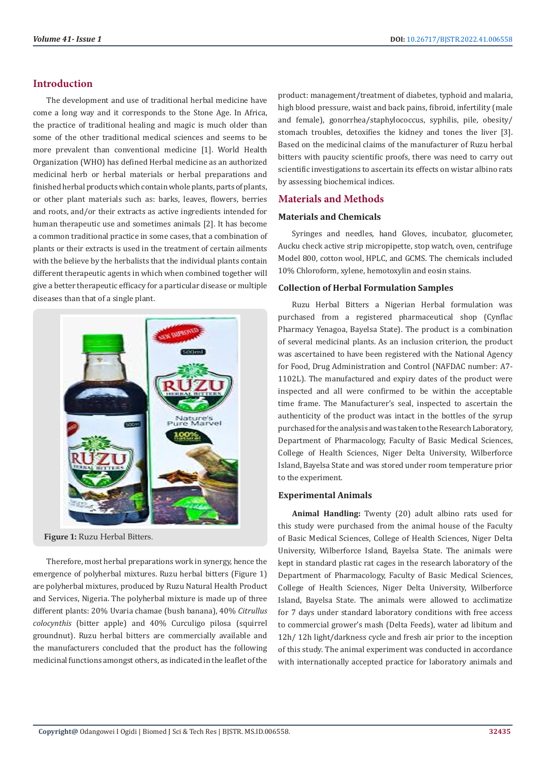# **Introduction**

The development and use of traditional herbal medicine have come a long way and it corresponds to the Stone Age. In Africa, the practice of traditional healing and magic is much older than some of the other traditional medical sciences and seems to be more prevalent than conventional medicine [1]. World Health Organization (WHO) has defined Herbal medicine as an authorized medicinal herb or herbal materials or herbal preparations and finished herbal products which contain whole plants, parts of plants, or other plant materials such as: barks, leaves, flowers, berries and roots, and/or their extracts as active ingredients intended for human therapeutic use and sometimes animals [2]. It has become a common traditional practice in some cases, that a combination of plants or their extracts is used in the treatment of certain ailments with the believe by the herbalists that the individual plants contain different therapeutic agents in which when combined together will give a better therapeutic efficacy for a particular disease or multiple diseases than that of a single plant.



**Figure 1:** Ruzu Herbal Bitters.

Therefore, most herbal preparations work in synergy, hence the emergence of polyherbal mixtures. Ruzu herbal bitters (Figure 1) are polyherbal mixtures, produced by Ruzu Natural Health Product and Services, Nigeria. The polyherbal mixture is made up of three different plants: 20% Uvaria chamae (bush banana), 40% *Citrullus colocynthis* (bitter apple) and 40% Curculigo pilosa (squirrel groundnut). Ruzu herbal bitters are commercially available and the manufacturers concluded that the product has the following medicinal functions amongst others, as indicated in the leaflet of the product: management/treatment of diabetes, typhoid and malaria, high blood pressure, waist and back pains, fibroid, infertility (male and female), gonorrhea/staphylococcus, syphilis, pile, obesity/ stomach troubles, detoxifies the kidney and tones the liver [3]. Based on the medicinal claims of the manufacturer of Ruzu herbal bitters with paucity scientific proofs, there was need to carry out scientific investigations to ascertain its effects on wistar albino rats by assessing biochemical indices.

# **Materials and Methods**

# **Materials and Chemicals**

Syringes and needles, hand Gloves, incubator, glucometer, Aucku check active strip micropipette, stop watch, oven, centrifuge Model 800, cotton wool, HPLC, and GCMS. The chemicals included 10% Chloroform, xylene, hemotoxylin and eosin stains.

# **Collection of Herbal Formulation Samples**

Ruzu Herbal Bitters a Nigerian Herbal formulation was purchased from a registered pharmaceutical shop (Cynflac Pharmacy Yenagoa, Bayelsa State). The product is a combination of several medicinal plants. As an inclusion criterion, the product was ascertained to have been registered with the National Agency for Food, Drug Administration and Control (NAFDAC number: A7- 1102L). The manufactured and expiry dates of the product were inspected and all were confirmed to be within the acceptable time frame. The Manufacturer's seal, inspected to ascertain the authenticity of the product was intact in the bottles of the syrup purchased for the analysis and was taken to the Research Laboratory, Department of Pharmacology, Faculty of Basic Medical Sciences, College of Health Sciences, Niger Delta University, Wilberforce Island, Bayelsa State and was stored under room temperature prior to the experiment.

# **Experimental Animals**

**Animal Handling:** Twenty (20) adult albino rats used for this study were purchased from the animal house of the Faculty of Basic Medical Sciences, College of Health Sciences, Niger Delta University, Wilberforce Island, Bayelsa State. The animals were kept in standard plastic rat cages in the research laboratory of the Department of Pharmacology, Faculty of Basic Medical Sciences, College of Health Sciences, Niger Delta University, Wilberforce Island, Bayelsa State. The animals were allowed to acclimatize for 7 days under standard laboratory conditions with free access to commercial grower's mash (Delta Feeds), water ad libitum and 12h/ 12h light/darkness cycle and fresh air prior to the inception of this study. The animal experiment was conducted in accordance with internationally accepted practice for laboratory animals and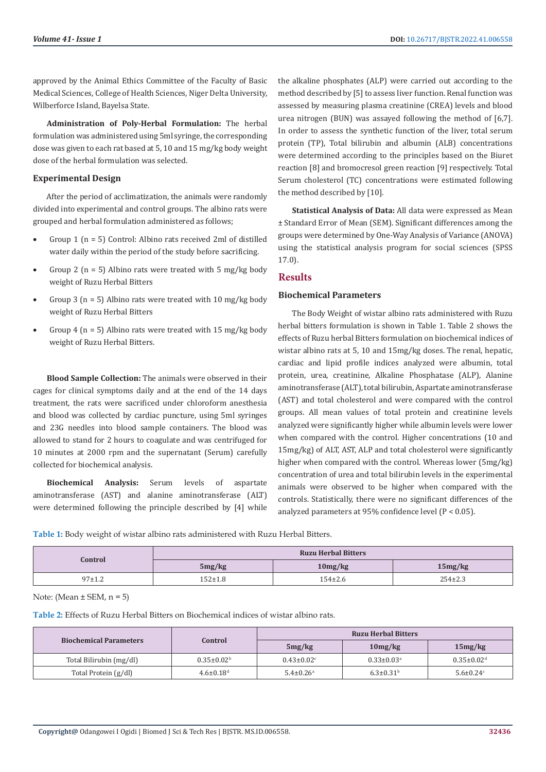approved by the Animal Ethics Committee of the Faculty of Basic Medical Sciences, College of Health Sciences, Niger Delta University, Wilberforce Island, Bayelsa State.

**Administration of Poly-Herbal Formulation:** The herbal formulation was administered using 5ml syringe, the corresponding dose was given to each rat based at 5, 10 and 15 mg/kg body weight dose of the herbal formulation was selected.

# **Experimental Design**

After the period of acclimatization, the animals were randomly divided into experimental and control groups. The albino rats were grouped and herbal formulation administered as follows;

- Group 1 ( $n = 5$ ) Control: Albino rats received 2ml of distilled water daily within the period of the study before sacrificing.
- Group 2 ( $n = 5$ ) Albino rats were treated with 5 mg/kg body weight of Ruzu Herbal Bitters
- Group 3 ( $n = 5$ ) Albino rats were treated with 10 mg/kg body weight of Ruzu Herbal Bitters
- Group 4 ( $n = 5$ ) Albino rats were treated with 15 mg/kg body weight of Ruzu Herbal Bitters.

**Blood Sample Collection:** The animals were observed in their cages for clinical symptoms daily and at the end of the 14 days treatment, the rats were sacrificed under chloroform anesthesia and blood was collected by cardiac puncture, using 5ml syringes and 23G needles into blood sample containers. The blood was allowed to stand for 2 hours to coagulate and was centrifuged for 10 minutes at 2000 rpm and the supernatant (Serum) carefully collected for biochemical analysis.

**Biochemical Analysis:** Serum levels of aspartate aminotransferase (AST) and alanine aminotransferase (ALT) were determined following the principle described by [4] while the alkaline phosphates (ALP) were carried out according to the method described by [5] to assess liver function. Renal function was assessed by measuring plasma creatinine (CREA) levels and blood urea nitrogen (BUN) was assayed following the method of [6,7]. In order to assess the synthetic function of the liver, total serum protein (TP), Total bilirubin and albumin (ALB) concentrations were determined according to the principles based on the Biuret reaction [8] and bromocresol green reaction [9] respectively. Total Serum cholesterol (TC) concentrations were estimated following the method described by [10].

**Statistical Analysis of Data:** All data were expressed as Mean ± Standard Error of Mean (SEM). Significant differences among the groups were determined by One-Way Analysis of Variance (ANOVA) using the statistical analysis program for social sciences (SPSS 17.0).

# **Results**

#### **Biochemical Parameters**

The Body Weight of wistar albino rats administered with Ruzu herbal bitters formulation is shown in Table 1. Table 2 shows the effects of Ruzu herbal Bitters formulation on biochemical indices of wistar albino rats at 5, 10 and 15mg/kg doses. The renal, hepatic, cardiac and lipid profile indices analyzed were albumin, total protein, urea, creatinine, Alkaline Phosphatase (ALP), Alanine aminotransferase (ALT), total bilirubin, Aspartate aminotransferase (AST) and total cholesterol and were compared with the control groups. All mean values of total protein and creatinine levels analyzed were significantly higher while albumin levels were lower when compared with the control. Higher concentrations (10 and 15mg/kg) of ALT, AST, ALP and total cholesterol were significantly higher when compared with the control. Whereas lower (5mg/kg) concentration of urea and total bilirubin levels in the experimental animals were observed to be higher when compared with the controls. Statistically, there were no significant differences of the analyzed parameters at 95% confidence level (P < 0.05).

**Table 1:** Body weight of wistar albino rats administered with Ruzu Herbal Bitters.

| Control  | <b>Ruzu Herbal Bitters</b> |             |               |  |
|----------|----------------------------|-------------|---------------|--|
|          | 5mg/kg                     | 10mg/kg     | 15mg/kg       |  |
| $97+1.2$ | 152±1.8                    | $154\pm2.6$ | $254 \pm 2.3$ |  |

Note: (Mean  $\pm$  SEM, n = 5)

**Table 2:** Effects of Ruzu Herbal Bitters on Biochemical indices of wistar albino rats.

| <b>Biochemical Parameters</b> | Control                     | <b>Ruzu Herbal Bitters</b>  |                              |                              |
|-------------------------------|-----------------------------|-----------------------------|------------------------------|------------------------------|
|                               |                             | 5mg/kg                      | 10mg/kg                      | 15mg/kg                      |
| Total Bilirubin (mg/dl)       | $0.35 \pm 0.02^{\rm b}$     | $0.43 \pm 0.02$             | $0.33 \pm 0.03$ <sup>a</sup> | $0.35 \pm 0.02$ <sup>d</sup> |
| Total Protein (g/dl)          | $4.6 \pm 0.18$ <sup>d</sup> | $5.4 \pm 0.26$ <sup>a</sup> | $6.3 \pm 0.31$ <sup>b</sup>  | $5.6 \pm 0.24$               |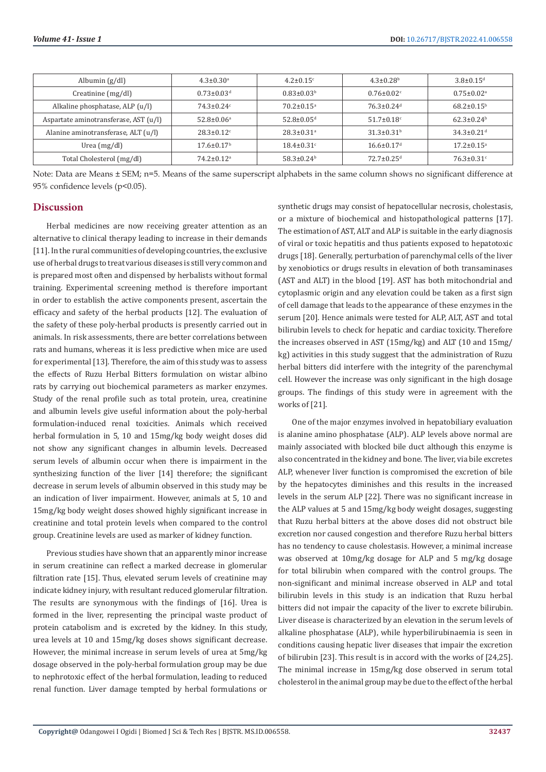| Albumin $(g/dl)$                      | $4.3 \pm 0.30^{\text{a}}$    | $4.2 \pm 0.15$ °             | $4.3 \pm 0.28$ <sup>b</sup>  | $3.8 \pm 0.15$ <sup>d</sup>  |
|---------------------------------------|------------------------------|------------------------------|------------------------------|------------------------------|
| Creatinine (mg/dl)                    | $0.73 \pm 0.03$ <sup>d</sup> | $0.83 \pm 0.03^b$            | $0.76 \pm 0.02$              | $0.75 \pm 0.02$ <sup>a</sup> |
| Alkaline phosphatase, ALP (u/l)       | $74.3 \pm 0.24$ c            | $70.2 \pm 0.15$ <sup>a</sup> | $76.3 \pm 0.24$ <sup>d</sup> | $68.2 \pm 0.15^{\rm b}$      |
| Aspartate aminotransferase, AST (u/l) | $52.8 \pm 0.06^a$            | $52.8 \pm 0.05$ <sup>d</sup> | $51.7 \pm 0.18$ <sup>c</sup> | $62.3 \pm 0.24^b$            |
| Alanine aminotransferase, ALT (u/l)   | $28.3 \pm 0.12$ <sup>c</sup> | $28.3 \pm 0.31$ <sup>a</sup> | $31.3 \pm 0.31$ <sup>b</sup> | $34.3 \pm 0.21$ <sup>d</sup> |
| Urea $(mg/dl)$                        | $17.6 \pm 0.17$ <sup>b</sup> | $18.4 \pm 0.31$ <sup>c</sup> | $16.6 \pm 0.17$ <sup>d</sup> | $17.2 \pm 0.15^a$            |
| Total Cholesterol (mg/dl)             | $74.2 \pm 0.12$ <sup>a</sup> | $58.3 \pm 0.24$ <sup>b</sup> | $72.7 \pm 0.25$ <sup>d</sup> | $76.3 \pm 0.31$ <sup>c</sup> |

Note: Data are Means ± SEM; n=5. Means of the same superscript alphabets in the same column shows no significant difference at 95% confidence levels (p<0.05).

#### **Discussion**

Herbal medicines are now receiving greater attention as an alternative to clinical therapy leading to increase in their demands [11]. In the rural communities of developing countries, the exclusive use of herbal drugs to treat various diseases is still very common and is prepared most often and dispensed by herbalists without formal training. Experimental screening method is therefore important in order to establish the active components present, ascertain the efficacy and safety of the herbal products [12]. The evaluation of the safety of these poly-herbal products is presently carried out in animals. In risk assessments, there are better correlations between rats and humans, whereas it is less predictive when mice are used for experimental [13]. Therefore, the aim of this study was to assess the effects of Ruzu Herbal Bitters formulation on wistar albino rats by carrying out biochemical parameters as marker enzymes. Study of the renal profile such as total protein, urea, creatinine and albumin levels give useful information about the poly-herbal formulation-induced renal toxicities. Animals which received herbal formulation in 5, 10 and 15mg/kg body weight doses did not show any significant changes in albumin levels. Decreased serum levels of albumin occur when there is impairment in the synthesizing function of the liver [14] therefore; the significant decrease in serum levels of albumin observed in this study may be an indication of liver impairment. However, animals at 5, 10 and 15mg/kg body weight doses showed highly significant increase in creatinine and total protein levels when compared to the control group. Creatinine levels are used as marker of kidney function.

Previous studies have shown that an apparently minor increase in serum creatinine can reflect a marked decrease in glomerular filtration rate [15]. Thus, elevated serum levels of creatinine may indicate kidney injury, with resultant reduced glomerular filtration. The results are synonymous with the findings of [16]. Urea is formed in the liver, representing the principal waste product of protein catabolism and is excreted by the kidney. In this study, urea levels at 10 and 15mg/kg doses shows significant decrease. However, the minimal increase in serum levels of urea at 5mg/kg dosage observed in the poly-herbal formulation group may be due to nephrotoxic effect of the herbal formulation, leading to reduced renal function. Liver damage tempted by herbal formulations or synthetic drugs may consist of hepatocellular necrosis, cholestasis, or a mixture of biochemical and histopathological patterns [17]. The estimation of AST, ALT and ALP is suitable in the early diagnosis of viral or toxic hepatitis and thus patients exposed to hepatotoxic drugs [18]. Generally, perturbation of parenchymal cells of the liver by xenobiotics or drugs results in elevation of both transaminases (AST and ALT) in the blood [19]. AST has both mitochondrial and cytoplasmic origin and any elevation could be taken as a first sign of cell damage that leads to the appearance of these enzymes in the serum [20]. Hence animals were tested for ALP, ALT, AST and total bilirubin levels to check for hepatic and cardiac toxicity. Therefore the increases observed in AST (15mg/kg) and ALT (10 and 15mg/ kg) activities in this study suggest that the administration of Ruzu herbal bitters did interfere with the integrity of the parenchymal cell. However the increase was only significant in the high dosage groups. The findings of this study were in agreement with the works of [21].

One of the major enzymes involved in hepatobiliary evaluation is alanine amino phosphatase (ALP). ALP levels above normal are mainly associated with blocked bile duct although this enzyme is also concentrated in the kidney and bone. The liver, via bile excretes ALP, whenever liver function is compromised the excretion of bile by the hepatocytes diminishes and this results in the increased levels in the serum ALP [22]. There was no significant increase in the ALP values at 5 and 15mg/kg body weight dosages, suggesting that Ruzu herbal bitters at the above doses did not obstruct bile excretion nor caused congestion and therefore Ruzu herbal bitters has no tendency to cause cholestasis. However, a minimal increase was observed at 10mg/kg dosage for ALP and 5 mg/kg dosage for total bilirubin when compared with the control groups. The non-significant and minimal increase observed in ALP and total bilirubin levels in this study is an indication that Ruzu herbal bitters did not impair the capacity of the liver to excrete bilirubin. Liver disease is characterized by an elevation in the serum levels of alkaline phosphatase (ALP), while hyperbilirubinaemia is seen in conditions causing hepatic liver diseases that impair the excretion of bilirubin [23]. This result is in accord with the works of [24,25]. The minimal increase in 15mg/kg dose observed in serum total cholesterol in the animal group may be due to the effect of the herbal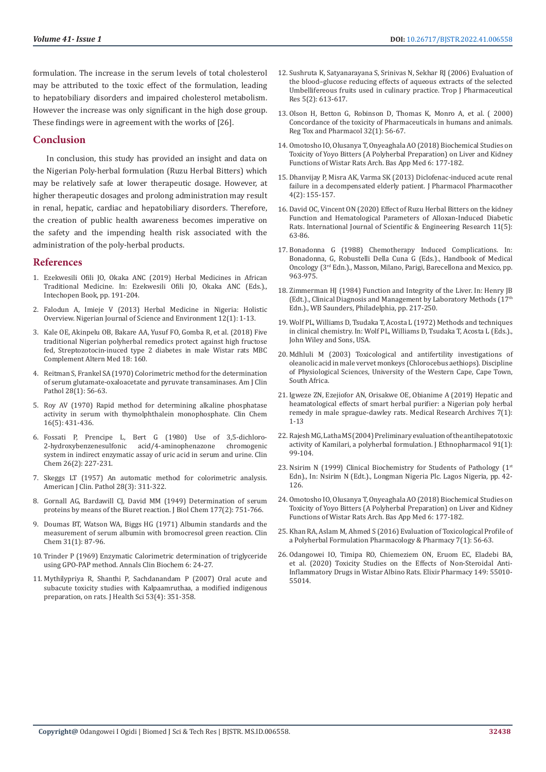formulation. The increase in the serum levels of total cholesterol may be attributed to the toxic effect of the formulation, leading to hepatobiliary disorders and impaired cholesterol metabolism. However the increase was only significant in the high dose group. These findings were in agreement with the works of [26].

#### **Conclusion**

In conclusion, this study has provided an insight and data on the Nigerian Poly-herbal formulation (Ruzu Herbal Bitters) which may be relatively safe at lower therapeutic dosage. However, at higher therapeutic dosages and prolong administration may result in renal, hepatic, cardiac and hepatobiliary disorders. Therefore, the creation of public health awareness becomes imperative on the safety and the impending health risk associated with the administration of the poly-herbal products.

#### **References**

- 1. [Ezekwesili Ofili JO, Okaka ANC \(2019\) Herbal Medicines in African](https://www.intechopen.com/chapters/64851)  [Traditional Medicine. In: Ezekwesili Ofili JO, Okaka ANC \(Eds.\).,](https://www.intechopen.com/chapters/64851)  [Intechopen Book, pp. 191-204.](https://www.intechopen.com/chapters/64851)
- 2. [Falodun A, Imieje V \(2013\) Herbal Medicine in Nigeria: Holistic](http://www.universityjournals.org/journal/NJSE/article-full-text-pdf/f163b81)  [Overview. Nigerian Journal of Science and Environment 12\(1\): 1-13.](http://www.universityjournals.org/journal/NJSE/article-full-text-pdf/f163b81)
- 3. [Kale OE, Akinpelu OB, Bakare AA, Yusuf FO, Gomba R, et al. \(2018\) Five](https://bmccomplementmedtherapies.biomedcentral.com/articles/10.1186/s12906-018-2225-6)  [traditional Nigerian polyherbal remedics protect against high fructose](https://bmccomplementmedtherapies.biomedcentral.com/articles/10.1186/s12906-018-2225-6)  [fed, Streptozotocin-inuced type 2 diabetes in male Wistar rats MBC](https://bmccomplementmedtherapies.biomedcentral.com/articles/10.1186/s12906-018-2225-6)  [Complement Altern Med 18: 160.](https://bmccomplementmedtherapies.biomedcentral.com/articles/10.1186/s12906-018-2225-6)
- 4. [Reitman S, Frankel SA \(1970\) Colorimetric method for the determination](https://pubmed.ncbi.nlm.nih.gov/13458125/)  [of serum glutamate-oxaloacetate and pyruvate transaminases. Am J Clin](https://pubmed.ncbi.nlm.nih.gov/13458125/)  [Pathol 28\(1\): 56-63.](https://pubmed.ncbi.nlm.nih.gov/13458125/)
- 5. [Roy AV \(1970\) Rapid method for determining alkaline phosphatase](https://academic.oup.com/clinchem/article-abstract/16/5/431/5679277?redirectedFrom=fulltext)  [activity in serum with thymolphthalein monophosphate. Clin Chem](https://academic.oup.com/clinchem/article-abstract/16/5/431/5679277?redirectedFrom=fulltext)  [16\(5\): 431-436.](https://academic.oup.com/clinchem/article-abstract/16/5/431/5679277?redirectedFrom=fulltext)
- 6. [Fossati P, Prencipe L, Bert G \(1980\) Use of 3,5-dichloro](https://pubmed.ncbi.nlm.nih.gov/7353268/)acid/4-aminophenazone [system in indirect enzymatic assay of uric acid in serum and urine. Clin](https://pubmed.ncbi.nlm.nih.gov/7353268/)  [Chem 26\(2\): 227-231.](https://pubmed.ncbi.nlm.nih.gov/7353268/)
- 7. [Skeggs LT \(1957\) An automatic method for colorimetric analysis.](https://pubmed.ncbi.nlm.nih.gov/13458160/)  [American J Clin. Pathol 28\(3\): 311-322.](https://pubmed.ncbi.nlm.nih.gov/13458160/)
- 8. [Gornall AG, Bardawill CJ, David MM \(1949\) Determination of serum](https://pubmed.ncbi.nlm.nih.gov/18110453/)  [proteins by means of the Biuret reaction. J Biol Chem 177\(2\): 751-766.](https://pubmed.ncbi.nlm.nih.gov/18110453/)
- 9. [Doumas BT, Watson WA, Biggs HG \(1971\) Albumin standards and the](https://pubmed.ncbi.nlm.nih.gov/5544065/)  [measurement of serum albumin with bromocresol green reaction. Clin](https://pubmed.ncbi.nlm.nih.gov/5544065/)  [Chem 31\(1\): 87-96.](https://pubmed.ncbi.nlm.nih.gov/5544065/)
- 10. [Trinder P \(1969\) Enzymatic Calorimetric determination of triglyceride](https://scirp.org/reference/referencespapers.aspx?referenceid=2225181)  [using GPO-PAP method. Annals Clin Biochem 6: 24-27.](https://scirp.org/reference/referencespapers.aspx?referenceid=2225181)
- 11. [Mythilypriya R, Shanthi P, Sachdanandam P \(2007\) Oral acute and](https://www.researchgate.net/publication/228614701_Oral_Acute_and_Subacute_Toxicity_Studies_with_Kalpaamruthaa_a_Modified_Indigenous_Preparation_on_Rats)  [subacute toxicity studies with Kalpaamruthaa, a modified indigenous](https://www.researchgate.net/publication/228614701_Oral_Acute_and_Subacute_Toxicity_Studies_with_Kalpaamruthaa_a_Modified_Indigenous_Preparation_on_Rats)  [preparation, on rats. J Health Sci 53\(4\): 351-358.](https://www.researchgate.net/publication/228614701_Oral_Acute_and_Subacute_Toxicity_Studies_with_Kalpaamruthaa_a_Modified_Indigenous_Preparation_on_Rats)
- 12. [Sushruta K, Satyanarayana S, Srinivas N, Sekhar RJ \(2006\) Evaluation of](https://www.ajol.info/index.php/tjpr/article/view/14639) [the blood–glucose reducing effects of aqueous extracts of the selected](https://www.ajol.info/index.php/tjpr/article/view/14639) [Umbellifereous fruits used in culinary practice. Trop J Pharmaceutical](https://www.ajol.info/index.php/tjpr/article/view/14639) [Res 5\(2\): 613-617.](https://www.ajol.info/index.php/tjpr/article/view/14639)
- 13. [Olson H, Betton G, Robinson D, Thomas K, Monro A, et al. \( 2000\)](https://pubmed.ncbi.nlm.nih.gov/11029269/) [Concordance of the toxicity of Pharmaceuticals in humans and animals.](https://pubmed.ncbi.nlm.nih.gov/11029269/) [Reg Tox and Pharmacol 32\(1\): 56-67.](https://pubmed.ncbi.nlm.nih.gov/11029269/)
- 14. [Omotosho IO, Olusanya T, Onyeaghala AO \(2018\) Biochemical Studies on](https://www.researchgate.net/publication/332878820_Biochemical_Studies_on_Toxicity_of_Yoyo_Bitters_A_Polyherbal_Preparation_on_Liver_and_Kidney_Functions_of_Wistar_Rats) [Toxicity of Yoyo Bitters \(A Polyherbal Preparation\) on Liver and Kidney](https://www.researchgate.net/publication/332878820_Biochemical_Studies_on_Toxicity_of_Yoyo_Bitters_A_Polyherbal_Preparation_on_Liver_and_Kidney_Functions_of_Wistar_Rats) [Functions of Wistar Rats Arch. Bas App Med 6: 177-182.](https://www.researchgate.net/publication/332878820_Biochemical_Studies_on_Toxicity_of_Yoyo_Bitters_A_Polyherbal_Preparation_on_Liver_and_Kidney_Functions_of_Wistar_Rats)
- 15. [Dhanvijay P, Misra AK, Varma SK \(2013\) Diclofenac-induced acute renal](https://pubmed.ncbi.nlm.nih.gov/23761717/) [failure in a decompensated elderly patient. J Pharmacol Pharmacother](https://pubmed.ncbi.nlm.nih.gov/23761717/) [4\(2\): 155-157.](https://pubmed.ncbi.nlm.nih.gov/23761717/)
- 16. [David OC, Vincent ON \(2020\) Effect of Ruzu Herbal Bitters on the kidney](https://www.ijser.org/researchpaper/Effect-of-Ruzu-Herbal-Bitters-on-the-kidney-Function-and-Hematological-Parameters-of-Alloxan-Induced-Diabetic-Rats.pdf) [Function and Hematological Parameters of Alloxan-Induced Diabetic](https://www.ijser.org/researchpaper/Effect-of-Ruzu-Herbal-Bitters-on-the-kidney-Function-and-Hematological-Parameters-of-Alloxan-Induced-Diabetic-Rats.pdf) [Rats. International Journal of Scientific & Engineering Research 11\(5\):](https://www.ijser.org/researchpaper/Effect-of-Ruzu-Herbal-Bitters-on-the-kidney-Function-and-Hematological-Parameters-of-Alloxan-Induced-Diabetic-Rats.pdf) [63-86.](https://www.ijser.org/researchpaper/Effect-of-Ruzu-Herbal-Bitters-on-the-kidney-Function-and-Hematological-Parameters-of-Alloxan-Induced-Diabetic-Rats.pdf)
- 17. [Bonadonna G \(1988\) Chemotherapy Induced Complications. In:](https://scirp.org/reference/referencespapers.aspx?referenceid=1656877) [Bonadonna, G, Robustelli Della Cuna G \(Eds.\)., Handbook of Medical](https://scirp.org/reference/referencespapers.aspx?referenceid=1656877) [Oncology \(3rd Edn.\)., Masson, Milano, Parigi, Barecellona and Mexico, pp.](https://scirp.org/reference/referencespapers.aspx?referenceid=1656877) [963-975.](https://scirp.org/reference/referencespapers.aspx?referenceid=1656877)
- 18. [Zimmerman HJ \(1984\) Function and Integrity of the Liver. In: Henry JB](https://www.scirp.org/(S(351jmbntvnsjt1aadkposzje))/reference/ReferencesPapers.aspx?ReferenceID=1656878) [\(Edt.\)., Clinical Diagnosis and Management by Laboratory Methods \(17th](https://www.scirp.org/(S(351jmbntvnsjt1aadkposzje))/reference/ReferencesPapers.aspx?ReferenceID=1656878) [Edn.\)., WB Saunders, Philadelphia, pp. 217-250.](https://www.scirp.org/(S(351jmbntvnsjt1aadkposzje))/reference/ReferencesPapers.aspx?ReferenceID=1656878)
- 19. [Wolf PL, Williams D, Tsudaka T, Acosta L \(1972\) Methods and techniques](https://ur.booksc.eu/book/1654885/00e586) [in clinical chemistry. In: Wolf PL, Williams D, Tsudaka T, Acosta L \(Eds.\).,](https://ur.booksc.eu/book/1654885/00e586) [John Wiley and Sons, USA.](https://ur.booksc.eu/book/1654885/00e586)
- 20. Mdhluli M (2003) Toxicological and antifertility investigations of oleanolic acid in male vervet monkeys (Chlorocebus aethiops). Discipline of Physiological Sciences, University of the Western Cape, Cape Town, South Africa.
- 21. [Igweze ZN, Ezejiofor AN, Orisakwe OE, Obianime A \(2019\) Hepatic and](https://esmed.org/MRA/mra/article/view/1881) [heamatological effects of smart herbal purifier: a Nigerian poly herbal](https://esmed.org/MRA/mra/article/view/1881) [remedy in male sprague-dawley rats. Medical Research Archives 7\(1\):](https://esmed.org/MRA/mra/article/view/1881) [1-13](https://esmed.org/MRA/mra/article/view/1881)
- 22. [Rajesh MG, Latha MS \(2004\) Preliminary evaluation of the antihepatotoxic](https://pubmed.ncbi.nlm.nih.gov/15036476/) [activity of Kamilari, a polyherbal formulation. J Ethnopharmacol 91\(1\):](https://pubmed.ncbi.nlm.nih.gov/15036476/) [99-104.](https://pubmed.ncbi.nlm.nih.gov/15036476/)
- 23. Nsirim N (1999) Clinical Biochemistry for Students of Pathology (1st Edn)., In: Nsirim N (Edt.)., Longman Nigeria Plc. Lagos Nigeria, pp. 42- 126.
- 24. [Omotosho IO, Olusanya T, Onyeaghala AO \(2018\) Biochemical Studies on](https://www.researchgate.net/publication/332878820_Biochemical_Studies_on_Toxicity_of_Yoyo_Bitters_A_Polyherbal_Preparation_on_Liver_and_Kidney_Functions_of_Wistar_Rats) [Toxicity of Yoyo Bitters \(A Polyherbal Preparation\) on Liver and Kidney](https://www.researchgate.net/publication/332878820_Biochemical_Studies_on_Toxicity_of_Yoyo_Bitters_A_Polyherbal_Preparation_on_Liver_and_Kidney_Functions_of_Wistar_Rats) [Functions of Wistar Rats Arch. Bas App Med 6: 177-182.](https://www.researchgate.net/publication/332878820_Biochemical_Studies_on_Toxicity_of_Yoyo_Bitters_A_Polyherbal_Preparation_on_Liver_and_Kidney_Functions_of_Wistar_Rats)
- 25. [Khan RA, Aslam M, Ahmed S \(2016\) Evaluation of Toxicological Profile of](https://www.scirp.org/journal/paperinformation.aspx?paperid=62899) [a Polyherbal Formulation Pharmacology & Pharmacy 7\(1\): 56-63.](https://www.scirp.org/journal/paperinformation.aspx?paperid=62899)
- 26. [Odangowei IO, Timipa RO, Chiemeziem ON, Eruom EC, Eladebi BA,](https://www.elixirpublishers.com/articles/1608723673_ELIXIR2020106731.pdf) [et al. \(2020\) Toxicity Studies on the Effects of Non-Steroidal Anti-](https://www.elixirpublishers.com/articles/1608723673_ELIXIR2020106731.pdf)[Inflammatory Drugs in Wistar Albino Rats. Elixir Pharmacy 149: 55010-](https://www.elixirpublishers.com/articles/1608723673_ELIXIR2020106731.pdf) [55014.](https://www.elixirpublishers.com/articles/1608723673_ELIXIR2020106731.pdf)